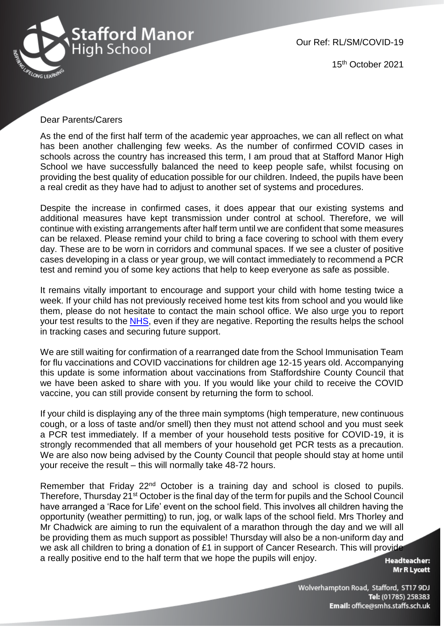

Our Ref: RL/SM/COVID-19

15th October 2021

## Dear Parents/Carers

As the end of the first half term of the academic year approaches, we can all reflect on what has been another challenging few weeks. As the number of confirmed COVID cases in schools across the country has increased this term, I am proud that at Stafford Manor High School we have successfully balanced the need to keep people safe, whilst focusing on providing the best quality of education possible for our children. Indeed, the pupils have been a real credit as they have had to adjust to another set of systems and procedures.

Despite the increase in confirmed cases, it does appear that our existing systems and additional measures have kept transmission under control at school. Therefore, we will continue with existing arrangements after half term until we are confident that some measures can be relaxed. Please remind your child to bring a face covering to school with them every day. These are to be worn in corridors and communal spaces. If we see a cluster of positive cases developing in a class or year group, we will contact immediately to recommend a PCR test and remind you of some key actions that help to keep everyone as safe as possible.

It remains vitally important to encourage and support your child with home testing twice a week. If your child has not previously received home test kits from school and you would like them, please do not hesitate to contact the main school office. We also urge you to report your test results to the [NHS,](https://www.gov.uk/report-covid19-result) even if they are negative. Reporting the results helps the school in tracking cases and securing future support.

We are still waiting for confirmation of a rearranged date from the School Immunisation Team for flu vaccinations and COVID vaccinations for children age 12-15 years old. Accompanying this update is some information about vaccinations from Staffordshire County Council that we have been asked to share with you. If you would like your child to receive the COVID vaccine, you can still provide consent by returning the form to school.

If your child is displaying any of the three main symptoms (high temperature, new continuous cough, or a loss of taste and/or smell) then they must not attend school and you must seek a PCR test immediately. If a member of your household tests positive for COVID-19, it is strongly recommended that all members of your household get PCR tests as a precaution. We are also now being advised by the County Council that people should stay at home until your receive the result – this will normally take 48-72 hours.

Remember that Friday 22<sup>nd</sup> October is a training day and school is closed to pupils. Therefore, Thursday 21<sup>st</sup> October is the final day of the term for pupils and the School Council have arranged a 'Race for Life' event on the school field. This involves all children having the opportunity (weather permitting) to run, jog, or walk laps of the school field. Mrs Thorley and Mr Chadwick are aiming to run the equivalent of a marathon through the day and we will all be providing them as much support as possible! Thursday will also be a non-uniform day and we ask all children to bring a donation of £1 in support of Cancer Research. This will provide a really positive end to the half term that we hope the pupils will enjoy.

**Headteacher: Mr R Lycett** 

Wolverhampton Road, Stafford, ST17 9DJ Tel: (01785) 258383 Email: office@smhs.staffs.sch.uk